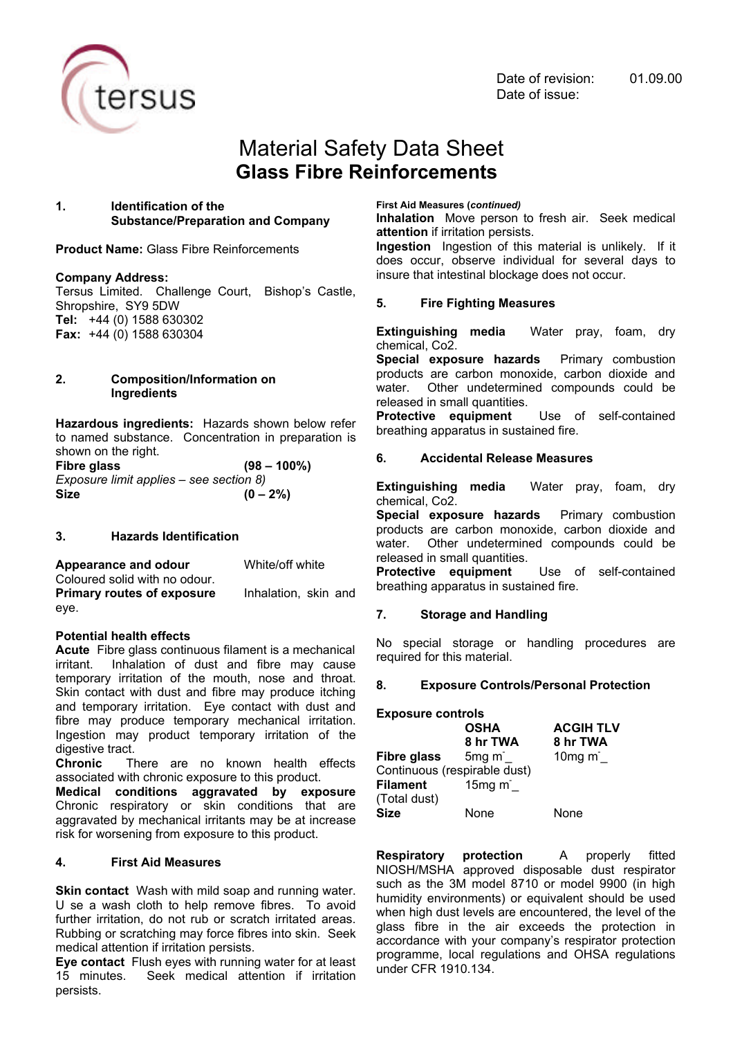



# Material Safety Data Sheet **Glass Fibre Reinforcements**

#### **1. Identification of the Substance/Preparation and Company**

**Product Name:** Glass Fibre Reinforcements

## **Company Address:**

Tersus Limited. Challenge Court, Bishop's Castle, Shropshire, SY9 5DW **Tel:** +44 (0) 1588 630302 **Fax:** +44 (0) 1588 630304

#### **2. Composition/Information on Ingredients**

**Hazardous ingredients:** Hazards shown below refer to named substance. Concentration in preparation is shown on the right.

| Fibre glass                             | $(98 - 100\%)$ |
|-----------------------------------------|----------------|
| Exposure limit applies – see section 8) |                |
| <b>Size</b>                             | $(0 - 2\%)$    |

# **3. Hazards Identification**

| Appearance and odour              | White/off white      |  |  |
|-----------------------------------|----------------------|--|--|
| Coloured solid with no odour.     |                      |  |  |
| <b>Primary routes of exposure</b> | Inhalation, skin and |  |  |
| eye.                              |                      |  |  |

# **Potential health effects**

**Acute** Fibre glass continuous filament is a mechanical irritant. Inhalation of dust and fibre may cause temporary irritation of the mouth, nose and throat. Skin contact with dust and fibre may produce itching and temporary irritation. Eye contact with dust and fibre may produce temporary mechanical irritation. Ingestion may product temporary irritation of the digestive tract.

**Chronic** There are no known health effects associated with chronic exposure to this product.

**Medical conditions aggravated by exposure** Chronic respiratory or skin conditions that are aggravated by mechanical irritants may be at increase risk for worsening from exposure to this product.

# **4. First Aid Measures**

**Skin contact** Wash with mild soap and running water. U se a wash cloth to help remove fibres. To avoid further irritation, do not rub or scratch irritated areas. Rubbing or scratching may force fibres into skin. Seek medical attention if irritation persists.

**Eye contact** Flush eyes with running water for at least 15 minutes. Seek medical attention if irritation persists.

#### **First Aid Measures (***continued)*

**Inhalation** Move person to fresh air. Seek medical **attention** if irritation persists.

**Ingestion** Ingestion of this material is unlikely. If it does occur, observe individual for several days to insure that intestinal blockage does not occur.

# **5. Fire Fighting Measures**

**Extinguishing media** Water pray, foam, dry chemical, Co2.

**Special exposure hazards** Primary combustion products are carbon monoxide, carbon dioxide and water. Other undetermined compounds could be released in small quantities.

**Protective equipment** Use of self-contained breathing apparatus in sustained fire.

# **6. Accidental Release Measures**

**Extinguishing media** Water pray, foam, dry chemical, Co2.

**Special exposure hazards** Primary combustion products are carbon monoxide, carbon dioxide and water. Other undetermined compounds could be released in small quantities.

**Protective equipment** Use of self-contained breathing apparatus in sustained fire.

# **7. Storage and Handling**

No special storage or handling procedures are required for this material.

# **8. Exposure Controls/Personal Protection**

| <b>Exposure controls</b>     |                       |                  |  |  |
|------------------------------|-----------------------|------------------|--|--|
|                              | <b>OSHA</b>           | <b>ACGIH TLV</b> |  |  |
|                              | 8 hr TWA              | 8 hr TWA         |  |  |
| Fibre glass 5mg m            |                       | $10mg \, m$      |  |  |
| Continuous (respirable dust) |                       |                  |  |  |
| <b>Filament</b>              | $15mg$ m <sup>-</sup> |                  |  |  |
| (Total dust)                 |                       |                  |  |  |
| <b>Size</b>                  | None                  | None             |  |  |

**Respiratory protection** A properly fitted NIOSH/MSHA approved disposable dust respirator such as the 3M model 8710 or model 9900 (in high humidity environments) or equivalent should be used when high dust levels are encountered, the level of the glass fibre in the air exceeds the protection in accordance with your company's respirator protection programme, local regulations and OHSA regulations under CFR 1910.134.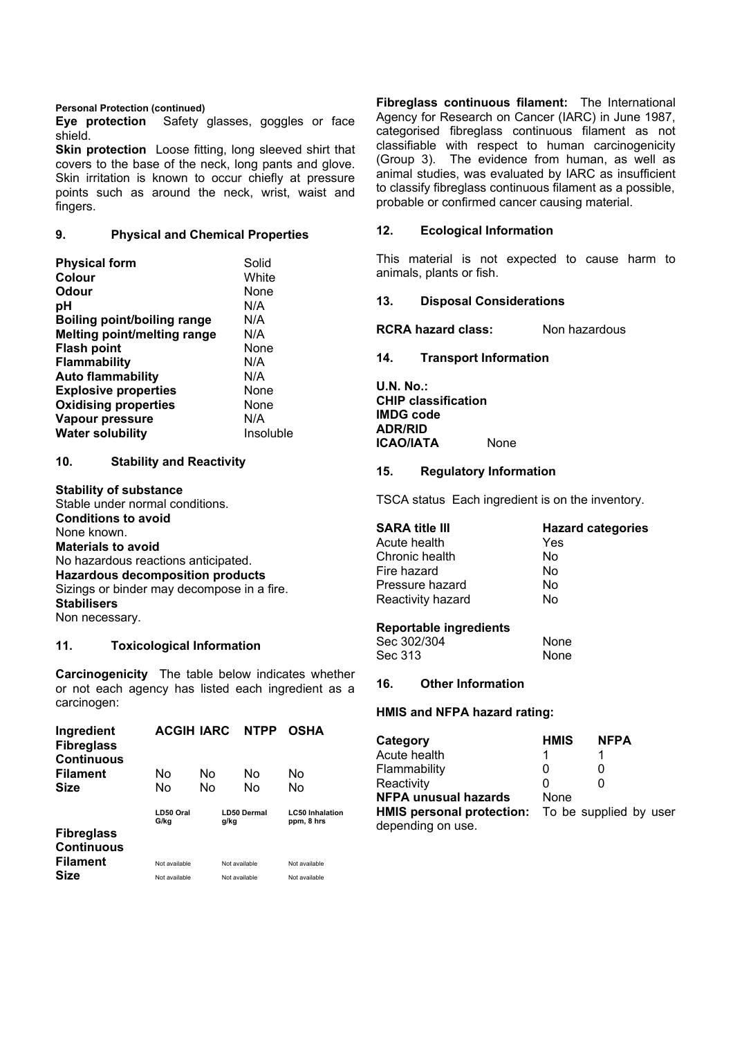#### **Personal Protection (continued)**

**Eye protection** Safety glasses, goggles or face shield.

**Skin protection** Loose fitting, long sleeved shirt that covers to the base of the neck, long pants and glove. Skin irritation is known to occur chiefly at pressure points such as around the neck, wrist, waist and fingers.

## **9. Physical and Chemical Properties**

| <b>Physical form</b>               | Solid     |
|------------------------------------|-----------|
| Colour                             | White     |
| Odour                              | None      |
| рH                                 | N/A       |
| <b>Boiling point/boiling range</b> | N/A       |
| Melting point/melting range        | N/A       |
| <b>Flash point</b>                 | None      |
| <b>Flammability</b>                | N/A       |
| <b>Auto flammability</b>           | N/A       |
| <b>Explosive properties</b>        | None      |
| <b>Oxidising properties</b>        | None      |
| Vapour pressure                    | N/A       |
| <b>Water solubility</b>            | Insoluble |

# **10. Stability and Reactivity**

**Stability of substance** Stable under normal conditions. **Conditions to avoid** None known. **Materials to avoid** No hazardous reactions anticipated. **Hazardous decomposition products** Sizings or binder may decompose in a fire. **Stabilisers** Non necessary.

# **11. Toxicological Information**

**Carcinogenicity** The table below indicates whether or not each agency has listed each ingredient as a carcinogen:

| Ingredient<br><b>Fibreglass</b><br><b>Continuous</b> | <b>ACGIH IARC</b> |      | <b>NTPP</b>        | <b>OSHA</b>                          |
|------------------------------------------------------|-------------------|------|--------------------|--------------------------------------|
| <b>Filament</b>                                      | N٥                | N٥   | N٥                 | No                                   |
| <b>Size</b>                                          | No                | No   | No                 | No                                   |
|                                                      | LD50 Oral<br>G/kg | g/kg | <b>LD50 Dermal</b> | <b>LC50 Inhalation</b><br>ppm, 8 hrs |
| <b>Fibreglass</b>                                    |                   |      |                    |                                      |
| <b>Continuous</b>                                    |                   |      |                    |                                      |
| <b>Filament</b>                                      | Not available     |      | Not available      | Not available                        |
| Size                                                 | Not available     |      | Not available      | Not available                        |

**Fibreglass continuous filament:** The International Agency for Research on Cancer (IARC) in June 1987, categorised fibreglass continuous filament as not classifiable with respect to human carcinogenicity (Group 3). The evidence from human, as well as animal studies, was evaluated by IARC as insufficient to classify fibreglass continuous filament as a possible, probable or confirmed cancer causing material.

## **12. Ecological Information**

This material is not expected to cause harm to animals, plants or fish.

#### **13. Disposal Considerations**

**RCRA hazard class:** Non hazardous

## **14. Transport Information**

**U.N. No.: CHIP classification IMDG code ADR/RID ICAO/IATA** None

#### **15. Regulatory Information**

TSCA status Each ingredient is on the inventory.

| <b>SARA title III</b> | <b>Hazard categories</b> |
|-----------------------|--------------------------|
| Acute health          | Yes                      |
| Chronic health        | No                       |
| Fire hazard           | No                       |
| Pressure hazard       | No                       |
| Reactivity hazard     | Nο                       |
|                       |                          |

#### **Reportable ingredients**

Sec 302/304 **None**<br>
Sec 313 **None Sec 313** 

## **16. Other Information**

#### **HMIS and NFPA hazard rating:**

| Category                                         | <b>HMIS</b> | <b>NFPA</b> |  |
|--------------------------------------------------|-------------|-------------|--|
| Acute health                                     | 1           |             |  |
| Flammability                                     | O           |             |  |
| Reactivity                                       | O           |             |  |
| NFPA unusual hazards                             | None        |             |  |
| HMIS personal protection: To be supplied by user |             |             |  |
| depending on use.                                |             |             |  |
|                                                  |             |             |  |